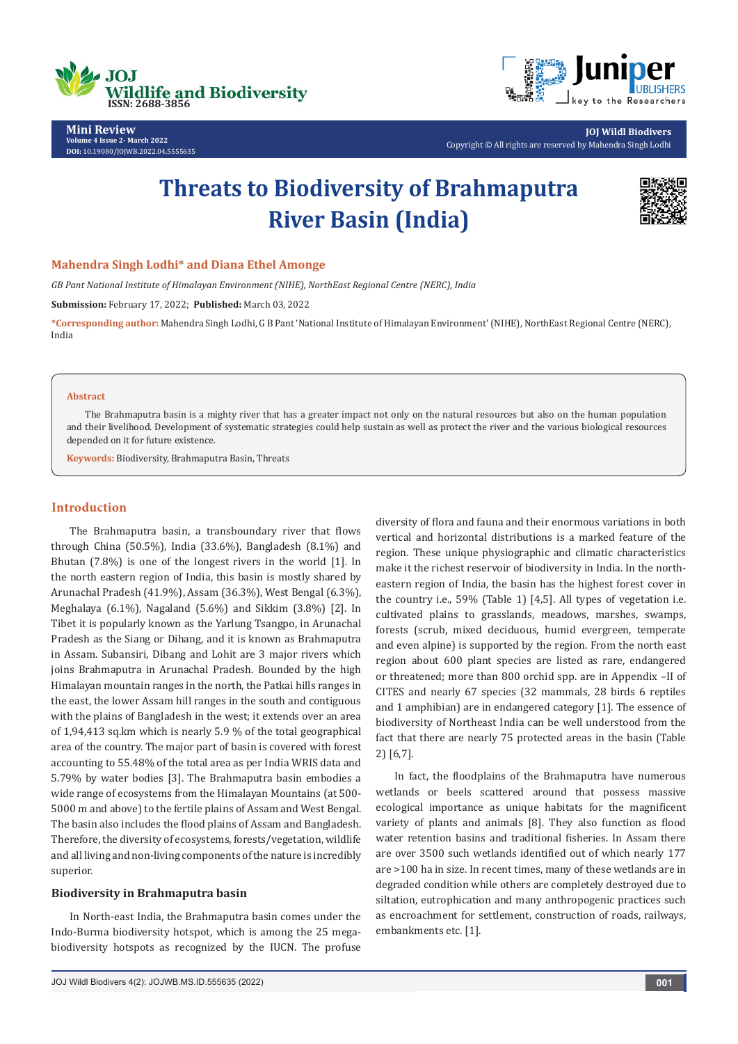



**Mini Review Volume 4 Issue 2- March 2022 DOI:** [10.19080/JOJWB.2022.04.55556](http://dx.doi.org/10.19080/jojwb.2022.04.555635)35

**JOJ Wildl Biodivers** Copyright © All rights are reserved by Mahendra Singh Lodhi

# **Threats to Biodiversity of Brahmaputra River Basin (India)**



## **Mahendra Singh Lodhi\* and Diana Ethel Amonge**

*GB Pant National Institute of Himalayan Environment (NIHE), NorthEast Regional Centre (NERC), India*

**Submission:** February 17, 2022; **Published:** March 03, 2022

**\*Corresponding author:** Mahendra Singh Lodhi, G B Pant 'National Institute of Himalayan Environment' (NIHE), NorthEast Regional Centre (NERC), India

#### **Abstract**

The Brahmaputra basin is a mighty river that has a greater impact not only on the natural resources but also on the human population and their livelihood. Development of systematic strategies could help sustain as well as protect the river and the various biological resources depended on it for future existence.

**Keywords:** Biodiversity, Brahmaputra Basin, Threats

## **Introduction**

The Brahmaputra basin, a transboundary river that flows through China (50.5%), India (33.6%), Bangladesh (8.1%) and Bhutan (7.8%) is one of the longest rivers in the world [1]. In the north eastern region of India, this basin is mostly shared by Arunachal Pradesh (41.9%), Assam (36.3%), West Bengal (6.3%), Meghalaya (6.1%), Nagaland (5.6%) and Sikkim (3.8%) [2]. In Tibet it is popularly known as the Yarlung Tsangpo, in Arunachal Pradesh as the Siang or Dihang, and it is known as Brahmaputra in Assam. Subansiri, Dibang and Lohit are 3 major rivers which joins Brahmaputra in Arunachal Pradesh. Bounded by the high Himalayan mountain ranges in the north, the Patkai hills ranges in the east, the lower Assam hill ranges in the south and contiguous with the plains of Bangladesh in the west; it extends over an area of 1,94,413 sq.km which is nearly 5.9 % of the total geographical area of the country. The major part of basin is covered with forest accounting to 55.48% of the total area as per India WRIS data and 5.79% by water bodies [3]. The Brahmaputra basin embodies a wide range of ecosystems from the Himalayan Mountains (at 500- 5000 m and above) to the fertile plains of Assam and West Bengal. The basin also includes the flood plains of Assam and Bangladesh. Therefore, the diversity of ecosystems, forests/vegetation, wildlife and all living and non-living components of the nature is incredibly superior.

### **Biodiversity in Brahmaputra basin**

In North-east India, the Brahmaputra basin comes under the Indo-Burma biodiversity hotspot, which is among the 25 megabiodiversity hotspots as recognized by the IUCN. The profuse

diversity of flora and fauna and their enormous variations in both vertical and horizontal distributions is a marked feature of the region. These unique physiographic and climatic characteristics make it the richest reservoir of biodiversity in India. In the northeastern region of India, the basin has the highest forest cover in the country i.e., 59% (Table 1) [4,5]. All types of vegetation i.e. cultivated plains to grasslands, meadows, marshes, swamps, forests (scrub, mixed deciduous, humid evergreen, temperate and even alpine) is supported by the region. From the north east region about 600 plant species are listed as rare, endangered or threatened; more than 800 orchid spp. are in Appendix –II of CITES and nearly 67 species (32 mammals, 28 birds 6 reptiles and 1 amphibian) are in endangered category [1]. The essence of biodiversity of Northeast India can be well understood from the fact that there are nearly 75 protected areas in the basin (Table 2) [6,7].

In fact, the floodplains of the Brahmaputra have numerous wetlands or beels scattered around that possess massive ecological importance as unique habitats for the magnificent variety of plants and animals [8]. They also function as flood water retention basins and traditional fisheries. In Assam there are over 3500 such wetlands identified out of which nearly 177 are >100 ha in size. In recent times, many of these wetlands are in degraded condition while others are completely destroyed due to siltation, eutrophication and many anthropogenic practices such as encroachment for settlement, construction of roads, railways, embankments etc. [1].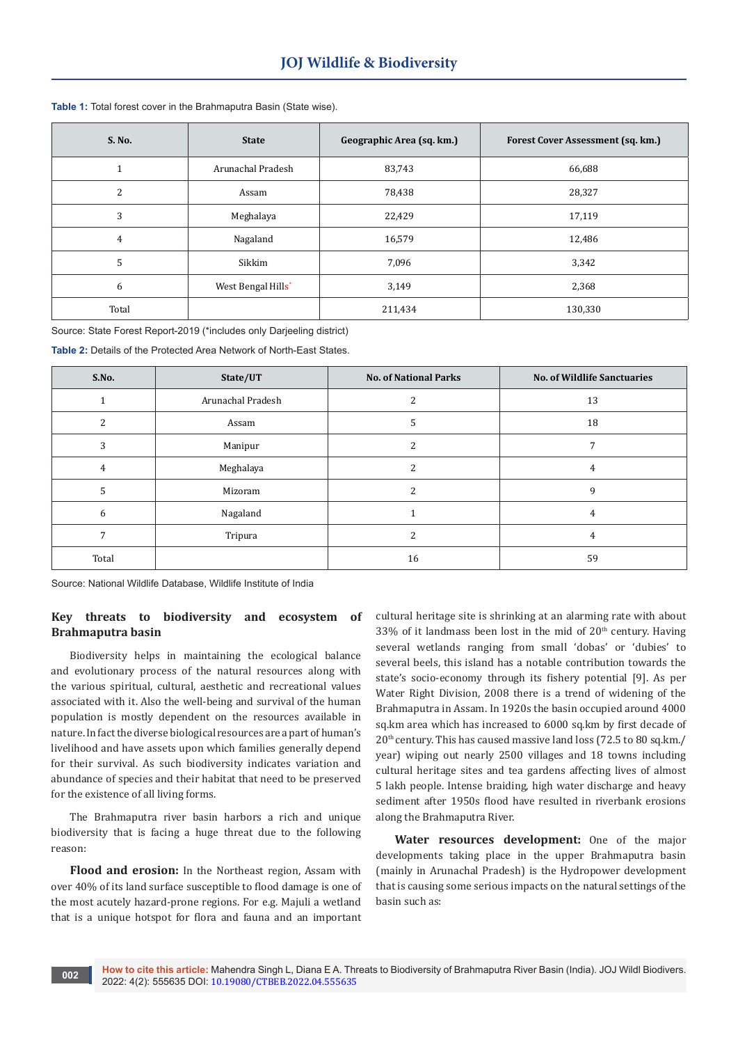| S. No. | <b>State</b>       | Geographic Area (sq. km.) | Forest Cover Assessment (sq. km.) |
|--------|--------------------|---------------------------|-----------------------------------|
|        | Arunachal Pradesh  | 83,743                    | 66,688                            |
| 2      | Assam              | 78,438                    | 28,327                            |
| 3      | Meghalaya          | 22,429                    | 17,119                            |
| 4      | Nagaland           | 16,579                    | 12,486                            |
| 5      | Sikkim             | 7,096                     | 3,342                             |
| 6      | West Bengal Hills* | 3,149                     | 2,368                             |
| Total  |                    | 211,434                   | 130,330                           |

#### **Table 1:** Total forest cover in the Brahmaputra Basin (State wise).

Source: State Forest Report-2019 (\*includes only Darjeeling district)

**Table 2:** Details of the Protected Area Network of North-East States.

| S.No. | State/UT          | <b>No. of National Parks</b> | <b>No. of Wildlife Sanctuaries</b> |
|-------|-------------------|------------------------------|------------------------------------|
|       | Arunachal Pradesh |                              | 13                                 |
|       | Assam             |                              | 18                                 |
| 3     | Manipur           | ำ                            |                                    |
| 4     | Meghalaya         |                              | 4                                  |
|       | Mizoram           | h                            | 9                                  |
| 6     | Nagaland          |                              | 4                                  |
|       | Tripura           | ົ                            | 4                                  |
| Total |                   | 16                           | 59                                 |

Source: National Wildlife Database, Wildlife Institute of India

## **Key threats to biodiversity and ecosystem of Brahmaputra basin**

Biodiversity helps in maintaining the ecological balance and evolutionary process of the natural resources along with the various spiritual, cultural, aesthetic and recreational values associated with it. Also the well-being and survival of the human population is mostly dependent on the resources available in nature. In fact the diverse biological resources are a part of human's livelihood and have assets upon which families generally depend for their survival. As such biodiversity indicates variation and abundance of species and their habitat that need to be preserved for the existence of all living forms.

The Brahmaputra river basin harbors a rich and unique biodiversity that is facing a huge threat due to the following reason:

**Flood and erosion:** In the Northeast region, Assam with over 40% of its land surface susceptible to flood damage is one of the most acutely hazard-prone regions. For e.g. Majuli a wetland that is a unique hotspot for flora and fauna and an important

cultural heritage site is shrinking at an alarming rate with about 33% of it landmass been lost in the mid of  $20<sup>th</sup>$  century. Having several wetlands ranging from small 'dobas' or 'dubies' to several beels, this island has a notable contribution towards the state's socio-economy through its fishery potential [9]. As per Water Right Division, 2008 there is a trend of widening of the Brahmaputra in Assam. In 1920s the basin occupied around 4000 sq.km area which has increased to 6000 sq.km by first decade of 20th century. This has caused massive land loss (72.5 to 80 sq.km./ year) wiping out nearly 2500 villages and 18 towns including cultural heritage sites and tea gardens affecting lives of almost 5 lakh people. Intense braiding, high water discharge and heavy sediment after 1950s flood have resulted in riverbank erosions along the Brahmaputra River.

**Water resources development:** One of the major developments taking place in the upper Brahmaputra basin (mainly in Arunachal Pradesh) is the Hydropower development that is causing some serious impacts on the natural settings of the basin such as: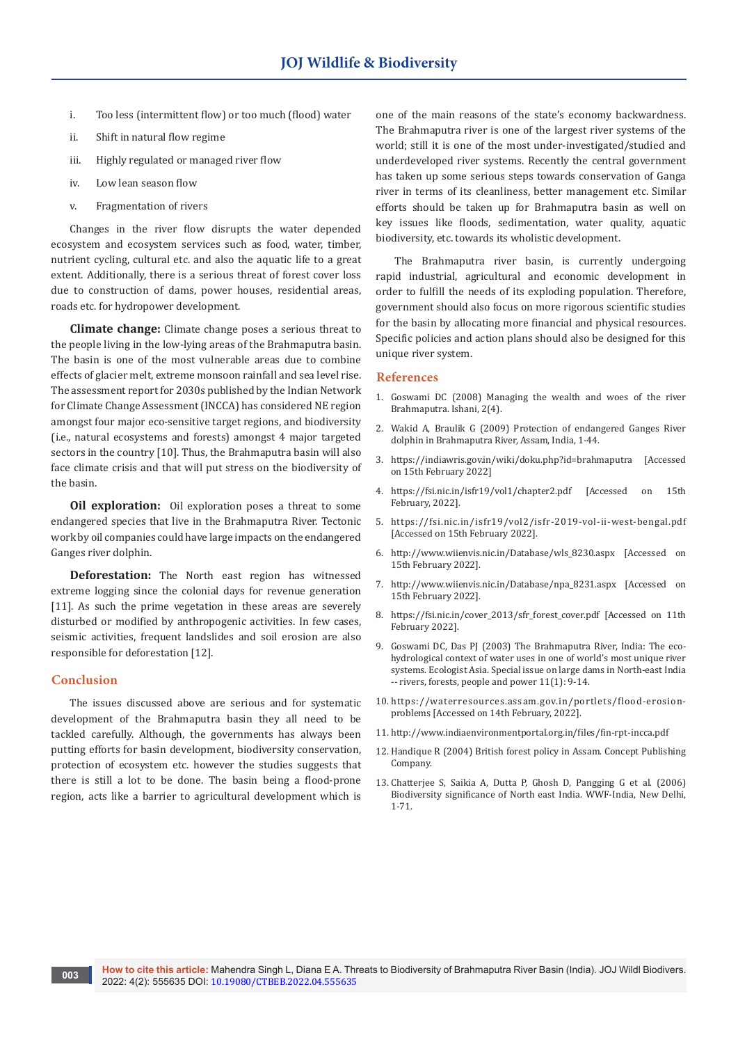- i. Too less (intermittent flow) or too much (flood) water
- ii. Shift in natural flow regime
- iii. Highly regulated or managed river flow
- iv. Low lean season flow
- v. Fragmentation of rivers

Changes in the river flow disrupts the water depended ecosystem and ecosystem services such as food, water, timber, nutrient cycling, cultural etc. and also the aquatic life to a great extent. Additionally, there is a serious threat of forest cover loss due to construction of dams, power houses, residential areas, roads etc. for hydropower development.

**Climate change:** Climate change poses a serious threat to the people living in the low-lying areas of the Brahmaputra basin. The basin is one of the most vulnerable areas due to combine effects of glacier melt, extreme monsoon rainfall and sea level rise. The assessment report for 2030s published by the Indian Network for Climate Change Assessment (INCCA) has considered NE region amongst four major eco-sensitive target regions, and biodiversity (i.e., natural ecosystems and forests) amongst 4 major targeted sectors in the country [10]. Thus, the Brahmaputra basin will also face climate crisis and that will put stress on the biodiversity of the basin.

**Oil exploration:** Oil exploration poses a threat to some endangered species that live in the Brahmaputra River. Tectonic work by oil companies could have large impacts on the endangered Ganges river dolphin.

**Deforestation:** The North east region has witnessed extreme logging since the colonial days for revenue generation [11]. As such the prime vegetation in these areas are severely disturbed or modified by anthropogenic activities. In few cases, seismic activities, frequent landslides and soil erosion are also responsible for deforestation [12].

#### **Conclusion**

The issues discussed above are serious and for systematic development of the Brahmaputra basin they all need to be tackled carefully. Although, the governments has always been putting efforts for basin development, biodiversity conservation, protection of ecosystem etc. however the studies suggests that there is still a lot to be done. The basin being a flood-prone region, acts like a barrier to agricultural development which is

one of the main reasons of the state's economy backwardness. The Brahmaputra river is one of the largest river systems of the world; still it is one of the most under-investigated/studied and underdeveloped river systems. Recently the central government has taken up some serious steps towards conservation of Ganga river in terms of its cleanliness, better management etc. Similar efforts should be taken up for Brahmaputra basin as well on key issues like floods, sedimentation, water quality, aquatic biodiversity, etc. towards its wholistic development.

The Brahmaputra river basin, is currently undergoing rapid industrial, agricultural and economic development in order to fulfill the needs of its exploding population. Therefore, government should also focus on more rigorous scientific studies for the basin by allocating more financial and physical resources. Specific policies and action plans should also be designed for this unique river system.

#### **References**

- 1. Goswami DC (2008) Managing the wealth and woes of the river Brahmaputra. Ishani, 2(4).
- 2. Wakid A, Braulik G (2009) Protection of endangered Ganges River dolphin in Brahmaputra River, Assam, India, 1-44.
- 3. https://indiawris.gov.in/wiki/doku.php?id=brahmaputra [Accessed on 15th February 2022]
- 4. https://fsi.nic.in/isfr19/vol1/chapter2.pdf [Accessed on 15th February, 2022].
- 5. https://fsi.nic.in/isfr19/vol2/isfr-2019-vol-ii-west-bengal.pdf [Accessed on 15th February 2022].
- 6. http://www.wiienvis.nic.in/Database/wls\_8230.aspx [Accessed on 15th February 2022].
- 7. http://www.wiienvis.nic.in/Database/npa\_8231.aspx [Accessed on 15th February 2022].
- 8. https://fsi.nic.in/cover\_2013/sfr\_forest\_cover.pdf [Accessed on 11th February 2022].
- 9. Goswami DC, Das PJ (2003) The Brahmaputra River, India: The ecohydrological context of water uses in one of world's most unique river systems. Ecologist Asia. Special issue on large dams in North-east India -- rivers, forests, people and power 11(1): 9-14.
- 10. https://waterresources.assam.gov.in/portlets/flood-erosionproblems [Accessed on 14th February, 2022].
- 11. http://www.indiaenvironmentportal.org.in/files/fin-rpt-incca.pdf
- 12. Handique R (2004) British forest policy in Assam. Concept Publishing Company.
- 13. Chatterjee S, Saikia A, Dutta P, Ghosh D, Pangging G et al. (2006) Biodiversity significance of North east India. WWF-India, New Delhi, 1-71.